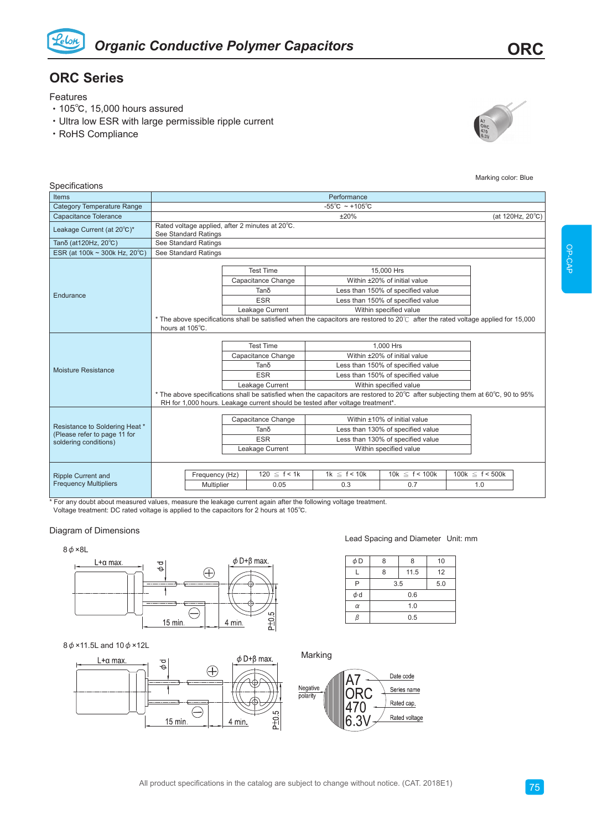

# **ORC Series**

Features

**Specifications** 

- ‧105℃, 15,000 hours assured
- ‧Ultra low ESR with large permissible ripple current
- ‧RoHS Compliance



Marking color: Blue

| poomoanono                                                                              |                                                                         |                                                                                 |                          |                                                                                |                                                                                                                                                                                                                                                                                     |  |                             |  |
|-----------------------------------------------------------------------------------------|-------------------------------------------------------------------------|---------------------------------------------------------------------------------|--------------------------|--------------------------------------------------------------------------------|-------------------------------------------------------------------------------------------------------------------------------------------------------------------------------------------------------------------------------------------------------------------------------------|--|-----------------------------|--|
| <b>Items</b>                                                                            | Performance                                                             |                                                                                 |                          |                                                                                |                                                                                                                                                                                                                                                                                     |  |                             |  |
| <b>Category Temperature Range</b>                                                       | $-55^{\circ}$ C ~ +105 $^{\circ}$ C                                     |                                                                                 |                          |                                                                                |                                                                                                                                                                                                                                                                                     |  |                             |  |
| <b>Capacitance Tolerance</b>                                                            | ±20%<br>(at 120Hz, 20°C)                                                |                                                                                 |                          |                                                                                |                                                                                                                                                                                                                                                                                     |  |                             |  |
| Leakage Current (at 20°C)*                                                              | Rated voltage applied, after 2 minutes at 20°C.<br>See Standard Ratings |                                                                                 |                          |                                                                                |                                                                                                                                                                                                                                                                                     |  |                             |  |
| Tanδ (at120Hz, 20°C)                                                                    | See Standard Ratings                                                    |                                                                                 |                          |                                                                                |                                                                                                                                                                                                                                                                                     |  |                             |  |
| ESR (at 100k ~ 300k Hz, 20°C)                                                           | See Standard Ratings                                                    |                                                                                 |                          |                                                                                |                                                                                                                                                                                                                                                                                     |  |                             |  |
| Endurance                                                                               | hours at 105°C.                                                         | <b>Test Time</b><br>Capacitance Change<br>Tanδ<br><b>ESR</b><br>Leakage Current |                          |                                                                                | 15,000 Hrs<br>Within ±20% of initial value<br>Less than 150% of specified value<br>Less than 150% of specified value<br>Within specified value<br>* The above specifications shall be satisfied when the capacitors are restored to 20°C after the rated voltage applied for 15,000 |  |                             |  |
| Moisture Resistance                                                                     |                                                                         | <b>Test Time</b><br>Capacitance Change<br>Tano<br><b>ESR</b><br>Leakage Current |                          | RH for 1,000 hours. Leakage current should be tested after voltage treatment*. | 1.000 Hrs<br>Within ±20% of initial value<br>Less than 150% of specified value<br>Less than 150% of specified value<br>Within specified value<br>* The above specifications shall be satisfied when the capacitors are restored to 20°C after subjecting them at 60°C, 90 to 95%    |  |                             |  |
| Resistance to Soldering Heat *<br>(Please refer to page 11 for<br>soldering conditions) |                                                                         | Capacitance Change<br>Tano<br><b>ESR</b><br>Leakage Current                     |                          |                                                                                | Within ±10% of initial value<br>Less than 130% of specified value<br>Less than 130% of specified value<br>Within specified value                                                                                                                                                    |  |                             |  |
| <b>Ripple Current and</b><br><b>Frequency Multipliers</b>                               | Frequency (Hz)<br>Multiplier                                            |                                                                                 | $120 \le f < 1k$<br>0.05 | $1k \leq f < 10k$<br>0.3                                                       | 10k $\leq$ f < 100k<br>0.7                                                                                                                                                                                                                                                          |  | 100k $\leq f < 500k$<br>1.0 |  |

\* For any doubt about measured values, measure the leakage current again after the following voltage treatment.

Voltage treatment: DC rated voltage is applied to the capacitors for 2 hours at 105℃.

# Diagram of Dimensions

 $8\phi \times 8L$ 



# 8φ×11.5L and 10φ×12L



### Lead Spacing and Diameter Unit: mm

| $\phi$ D | 8<br>ጸ |      | 10  |  |
|----------|--------|------|-----|--|
|          | 8      | 11.5 | 12  |  |
| P        | 3.5    |      | 5.0 |  |
| $\phi$ d |        | 0.6  |     |  |
| $\alpha$ |        | 1.0  |     |  |
|          |        | 0.5  |     |  |

Marking